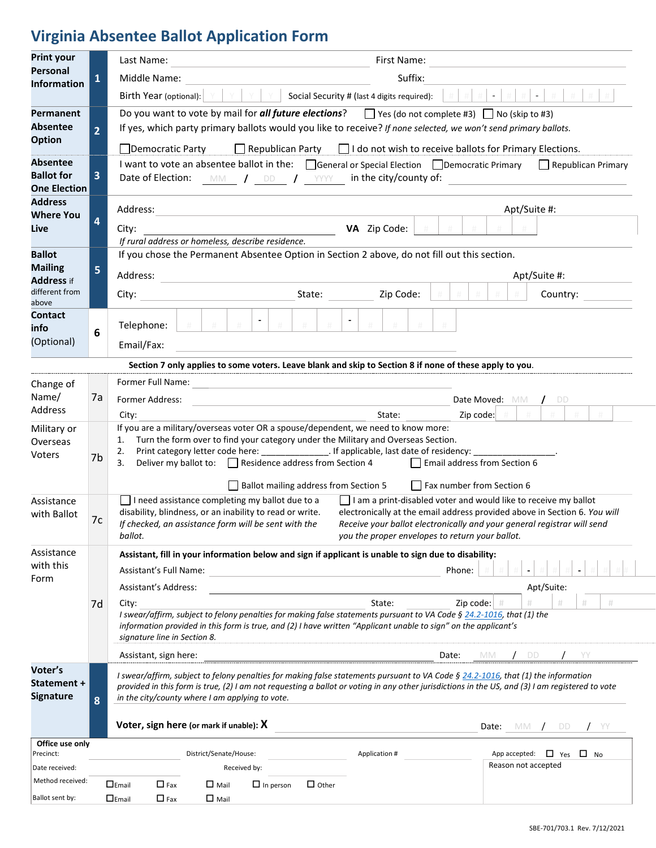# **Virginia Absentee Ballot Application Form**

| <b>Print your</b>                                           |                | First Name:<br>Last Name:                                                                                                                                                                                                                                                            |
|-------------------------------------------------------------|----------------|--------------------------------------------------------------------------------------------------------------------------------------------------------------------------------------------------------------------------------------------------------------------------------------|
| <b>Personal</b><br><b>Information</b>                       | 1              | Suffix:<br>Middle Name:                                                                                                                                                                                                                                                              |
|                                                             |                | Birth Year (optional): $\forall$<br>Social Security # (last 4 digits required):                                                                                                                                                                                                      |
| Permanent                                                   |                | Do you want to vote by mail for <b>all future elections</b> ? $\Box$ Yes (do not complete #3) $\Box$ No (skip to #3)                                                                                                                                                                 |
| <b>Absentee</b><br><b>Option</b>                            | $\overline{2}$ | If yes, which party primary ballots would you like to receive? If none selected, we won't send primary ballots.                                                                                                                                                                      |
|                                                             |                | $\Box$ Republican Party $\Box$ I do not wish to receive ballots for Primary Elections.<br>Democratic Party                                                                                                                                                                           |
| <b>Absentee</b><br><b>Ballot for</b><br><b>One Election</b> | 3              | I want to vote an absentee ballot in the: □ General or Special Election □ Democratic Primary<br>$\Box$ Republican Primary<br>Date of Election: MM / DD / YYYY in the city/county of:                                                                                                 |
| <b>Address</b><br><b>Where You</b><br>Live                  | 4              | Apt/Suite #:<br>Address:                                                                                                                                                                                                                                                             |
|                                                             |                | VA Zip Code:<br>City:                                                                                                                                                                                                                                                                |
|                                                             |                | If rural address or homeless, describe residence.                                                                                                                                                                                                                                    |
| <b>Ballot</b>                                               |                | If you chose the Permanent Absentee Option in Section 2 above, do not fill out this section.                                                                                                                                                                                         |
| <b>Mailing</b><br><b>Address if</b><br>different from       | 5              | Address:<br>Apt/Suite #:                                                                                                                                                                                                                                                             |
|                                                             |                | Zip Code:<br>State:<br>Country:<br>City:                                                                                                                                                                                                                                             |
| above<br><b>Contact</b>                                     |                |                                                                                                                                                                                                                                                                                      |
| info                                                        | 6              | $\overline{\phantom{a}}$<br>Telephone:                                                                                                                                                                                                                                               |
| (Optional)                                                  |                | Email/Fax:                                                                                                                                                                                                                                                                           |
|                                                             |                | Section 7 only applies to some voters. Leave blank and skip to Section 8 if none of these apply to you.                                                                                                                                                                              |
| Change of<br>Name/<br>Address                               |                | Former Full Name:                                                                                                                                                                                                                                                                    |
|                                                             | 7a             | Former Address:<br>Date Moved: MM                                                                                                                                                                                                                                                    |
|                                                             |                | State:<br>Zip code:<br>City:                                                                                                                                                                                                                                                         |
| Military or                                                 |                | If you are a military/overseas voter OR a spouse/dependent, we need to know more:                                                                                                                                                                                                    |
| Overseas                                                    |                | Turn the form over to find your category under the Military and Overseas Section.<br>1.<br>Print category letter code here: ___________________. If applicable, last date of residency: _<br>2.                                                                                      |
| Voters                                                      | 7b             | Deliver my ballot to: Residence address from Section 4<br>Email address from Section 6<br>3.                                                                                                                                                                                         |
|                                                             |                | <b>Fax number from Section 6</b><br>Ballot mailing address from Section 5                                                                                                                                                                                                            |
| Assistance                                                  |                | $\Box$ I need assistance completing my ballot due to a<br>      am a print-disabled voter and would like to receive my ballot                                                                                                                                                        |
| with Ballot                                                 | 7c             | disability, blindness, or an inability to read or write.<br>electronically at the email address provided above in Section 6. You will                                                                                                                                                |
|                                                             |                | If checked, an assistance form will be sent with the<br>Receive your ballot electronically and your general registrar will send<br>ballot.<br>you the proper envelopes to return your ballot.                                                                                        |
| Assistance                                                  |                | Assistant, fill in your information below and sign if applicant is unable to sign due to disability:                                                                                                                                                                                 |
| with this<br>Form                                           |                | Assistant's Full Name:<br>Phone:                                                                                                                                                                                                                                                     |
|                                                             |                | Apt/Suite:<br><b>Assistant's Address:</b>                                                                                                                                                                                                                                            |
|                                                             | 7d             | State:<br>Zip code:<br>City:<br>#<br>#<br>#                                                                                                                                                                                                                                          |
|                                                             |                | I swear/affirm, subject to felony penalties for making false statements pursuant to VA Code § 24.2-1016, that (1) the                                                                                                                                                                |
|                                                             |                | information provided in this form is true, and (2) I have written "Applicant unable to sign" on the applicant's<br>signature line in Section 8.                                                                                                                                      |
|                                                             |                | Assistant, sign here:<br>Date:<br>DD.<br><b>MM</b>                                                                                                                                                                                                                                   |
| Voter's<br>Statement +<br><b>Signature</b>                  |                |                                                                                                                                                                                                                                                                                      |
|                                                             |                | I swear/affirm, subject to felony penalties for making false statements pursuant to VA Code § 24.2-1016, that (1) the information<br>provided in this form is true, (2) I am not requesting a ballot or voting in any other jurisdictions in the US, and (3) I am registered to vote |
|                                                             | 8              | in the city/county where I am applying to vote.                                                                                                                                                                                                                                      |
|                                                             |                |                                                                                                                                                                                                                                                                                      |
|                                                             |                | Voter, sign here (or mark if unable): X<br><b>Date:</b> MM<br>DD.                                                                                                                                                                                                                    |
| Office use only<br>Precinct:                                |                | District/Senate/House:<br>Application #<br>App accepted:<br>$\Box$ Yes $\Box$ No                                                                                                                                                                                                     |
| Date received:                                              |                | Reason not accepted<br>Received by:                                                                                                                                                                                                                                                  |
| Method received:                                            |                | $\Box$ Email<br>$\Box$ Fax<br>$\Box$ Mail<br>$\Box$ Other<br>$\Box$ In person                                                                                                                                                                                                        |
| Ballot sent by:                                             |                | $\Box$ Mail<br>$\Box$ Email<br>$\Box$ Fax                                                                                                                                                                                                                                            |